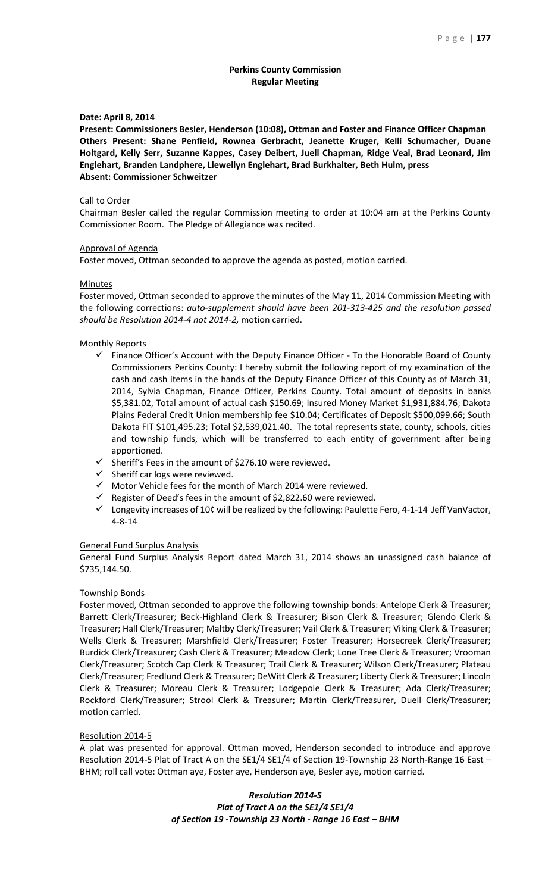# **Perkins County Commission Regular Meeting**

### **Date: April 8, 2014**

**Present: Commissioners Besler, Henderson (10:08), Ottman and Foster and Finance Officer Chapman Others Present: Shane Penfield, Rownea Gerbracht, Jeanette Kruger, Kelli Schumacher, Duane Holtgard, Kelly Serr, Suzanne Kappes, Casey Deibert, Juell Chapman, Ridge Veal, Brad Leonard, Jim Englehart, Branden Landphere, Llewellyn Englehart, Brad Burkhalter, Beth Hulm, press Absent: Commissioner Schweitzer**

#### Call to Order

Chairman Besler called the regular Commission meeting to order at 10:04 am at the Perkins County Commissioner Room. The Pledge of Allegiance was recited.

### Approval of Agenda

Foster moved, Ottman seconded to approve the agenda as posted, motion carried.

#### **Minutes**

Foster moved, Ottman seconded to approve the minutes of the May 11, 2014 Commission Meeting with the following corrections: *auto-supplement should have been 201-313-425 and the resolution passed should be Resolution 2014-4 not 2014-2,* motion carried.

### Monthly Reports

- $\checkmark$  Finance Officer's Account with the Deputy Finance Officer To the Honorable Board of County Commissioners Perkins County: I hereby submit the following report of my examination of the cash and cash items in the hands of the Deputy Finance Officer of this County as of March 31, 2014, Sylvia Chapman, Finance Officer, Perkins County. Total amount of deposits in banks \$5,381.02, Total amount of actual cash \$150.69; Insured Money Market \$1,931,884.76; Dakota Plains Federal Credit Union membership fee \$10.04; Certificates of Deposit \$500,099.66; South Dakota FIT \$101,495.23; Total \$2,539,021.40. The total represents state, county, schools, cities and township funds, which will be transferred to each entity of government after being apportioned.
- $\checkmark$  Sheriff's Fees in the amount of \$276.10 were reviewed.
- $\checkmark$  Sheriff car logs were reviewed.
- $\checkmark$  Motor Vehicle fees for the month of March 2014 were reviewed.
- $\checkmark$  Register of Deed's fees in the amount of \$2,822.60 were reviewed.
- $\checkmark$  Longevity increases of 10¢ will be realized by the following: Paulette Fero, 4-1-14 Jeff VanVactor, 4-8-14

### General Fund Surplus Analysis

General Fund Surplus Analysis Report dated March 31, 2014 shows an unassigned cash balance of \$735,144.50.

#### Township Bonds

Foster moved, Ottman seconded to approve the following township bonds: Antelope Clerk & Treasurer; Barrett Clerk/Treasurer; Beck-Highland Clerk & Treasurer; Bison Clerk & Treasurer; Glendo Clerk & Treasurer; Hall Clerk/Treasurer; Maltby Clerk/Treasurer; Vail Clerk & Treasurer; Viking Clerk & Treasurer; Wells Clerk & Treasurer; Marshfield Clerk/Treasurer; Foster Treasurer; Horsecreek Clerk/Treasurer; Burdick Clerk/Treasurer; Cash Clerk & Treasurer; Meadow Clerk; Lone Tree Clerk & Treasurer; Vrooman Clerk/Treasurer; Scotch Cap Clerk & Treasurer; Trail Clerk & Treasurer; Wilson Clerk/Treasurer; Plateau Clerk/Treasurer; Fredlund Clerk & Treasurer; DeWitt Clerk & Treasurer; Liberty Clerk & Treasurer; Lincoln Clerk & Treasurer; Moreau Clerk & Treasurer; Lodgepole Clerk & Treasurer; Ada Clerk/Treasurer; Rockford Clerk/Treasurer; Strool Clerk & Treasurer; Martin Clerk/Treasurer, Duell Clerk/Treasurer; motion carried.

## Resolution 2014-5

A plat was presented for approval. Ottman moved, Henderson seconded to introduce and approve Resolution 2014-5 Plat of Tract A on the SE1/4 SE1/4 of Section 19-Township 23 North-Range 16 East -BHM; roll call vote: Ottman aye, Foster aye, Henderson aye, Besler aye, motion carried.

> *Resolution 2014-5 Plat of Tract A on the SE1/4 SE1/4 of Section 19 -Township 23 North - Range 16 East – BHM*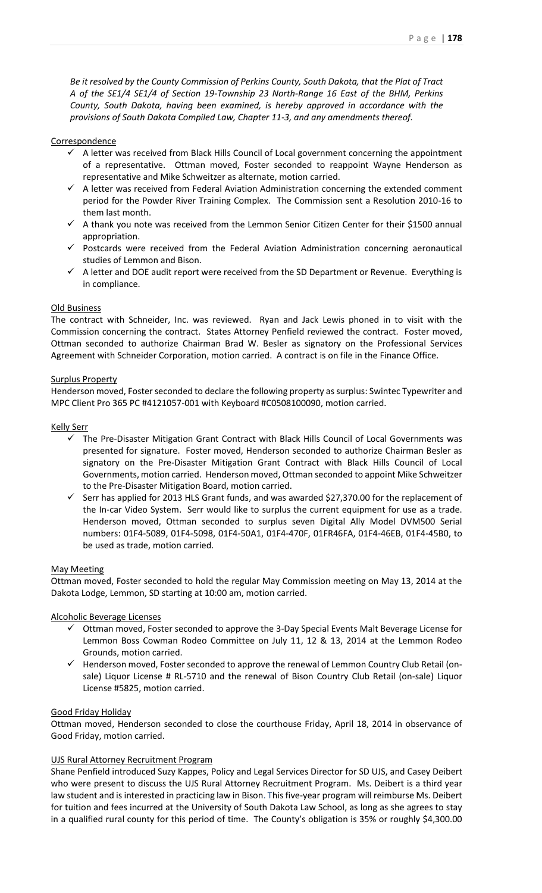*Be it resolved by the County Commission of Perkins County, South Dakota, that the Plat of Tract A of the SE1/4 SE1/4 of Section 19-Township 23 North-Range 16 East of the BHM, Perkins County, South Dakota, having been examined, is hereby approved in accordance with the provisions of South Dakota Compiled Law, Chapter 11-3, and any amendments thereof.*

## Correspondence

- $\sim$  A letter was received from Black Hills Council of Local government concerning the appointment of a representative. Ottman moved, Foster seconded to reappoint Wayne Henderson as representative and Mike Schweitzer as alternate, motion carried.
- $\checkmark$  A letter was received from Federal Aviation Administration concerning the extended comment period for the Powder River Training Complex. The Commission sent a Resolution 2010-16 to them last month.
- $\checkmark$  A thank you note was received from the Lemmon Senior Citizen Center for their \$1500 annual appropriation.
- $\checkmark$  Postcards were received from the Federal Aviation Administration concerning aeronautical studies of Lemmon and Bison.
- $\checkmark$  A letter and DOE audit report were received from the SD Department or Revenue. Everything is in compliance.

# Old Business

The contract with Schneider, Inc. was reviewed. Ryan and Jack Lewis phoned in to visit with the Commission concerning the contract. States Attorney Penfield reviewed the contract. Foster moved, Ottman seconded to authorize Chairman Brad W. Besler as signatory on the Professional Services Agreement with Schneider Corporation, motion carried. A contract is on file in the Finance Office.

# Surplus Property

Henderson moved, Foster seconded to declare the following property as surplus: Swintec Typewriter and MPC Client Pro 365 PC #4121057-001 with Keyboard #C0508100090, motion carried.

# Kelly Serr

- $\checkmark$  The Pre-Disaster Mitigation Grant Contract with Black Hills Council of Local Governments was presented for signature. Foster moved, Henderson seconded to authorize Chairman Besler as signatory on the Pre-Disaster Mitigation Grant Contract with Black Hills Council of Local Governments, motion carried. Henderson moved, Ottman seconded to appoint Mike Schweitzer to the Pre-Disaster Mitigation Board, motion carried.
- $\checkmark$  Serr has applied for 2013 HLS Grant funds, and was awarded \$27,370.00 for the replacement of the In-car Video System. Serr would like to surplus the current equipment for use as a trade. Henderson moved, Ottman seconded to surplus seven Digital Ally Model DVM500 Serial numbers: 01F4-5089, 01F4-5098, 01F4-50A1, 01F4-470F, 01FR46FA, 01F4-46EB, 01F4-45B0, to be used as trade, motion carried.

### May Meeting

Ottman moved, Foster seconded to hold the regular May Commission meeting on May 13, 2014 at the Dakota Lodge, Lemmon, SD starting at 10:00 am, motion carried.

# Alcoholic Beverage Licenses

- Ottman moved, Foster seconded to approve the 3-Day Special Events Malt Beverage License for Lemmon Boss Cowman Rodeo Committee on July 11, 12 & 13, 2014 at the Lemmon Rodeo Grounds, motion carried.
- $\checkmark$  Henderson moved, Foster seconded to approve the renewal of Lemmon Country Club Retail (onsale) Liquor License # RL-5710 and the renewal of Bison Country Club Retail (on-sale) Liquor License #5825, motion carried.

## Good Friday Holiday

Ottman moved, Henderson seconded to close the courthouse Friday, April 18, 2014 in observance of Good Friday, motion carried.

# UJS Rural Attorney Recruitment Program

Shane Penfield introduced Suzy Kappes, Policy and Legal Services Director for SD UJS, and Casey Deibert who were present to discuss the UJS Rural Attorney Recruitment Program. Ms. Deibert is a third year law student and is interested in practicing law in Bison. This five-year program will reimburse Ms. Deibert for tuition and fees incurred at the University of South Dakota Law School, as long as she agrees to stay in a qualified rural county for this period of time. The County's obligation is 35% or roughly \$4,300.00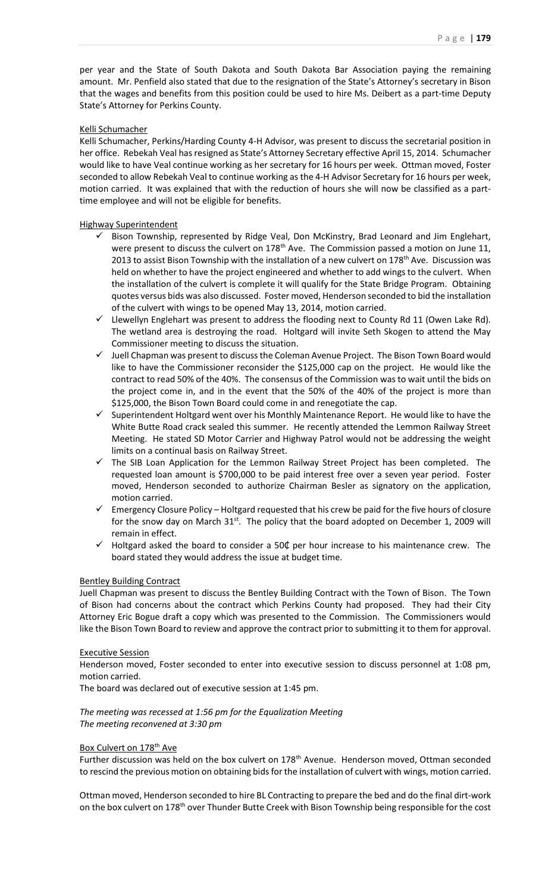per year and the State of South Dakota and South Dakota Bar Association paying the remaining amount. Mr. Penfield also stated that due to the resignation of the State's Attorney's secretary in Bison that the wages and benefits from this position could be used to hire Ms. Deibert as a part-time Deputy State's Attorney for Perkins County.

## Kelli Schumacher

Kelli Schumacher, Perkins/Harding County 4-H Advisor, was present to discuss the secretarial position in her office. Rebekah Veal has resigned as State's Attorney Secretary effective April 15, 2014. Schumacher would like to have Veal continue working as her secretary for 16 hours per week. Ottman moved, Foster seconded to allow Rebekah Veal to continue working as the 4-H Advisor Secretary for 16 hours per week, motion carried. It was explained that with the reduction of hours she will now be classified as a parttime employee and will not be eligible for benefits.

# Highway Superintendent

- $\checkmark$  Bison Township, represented by Ridge Veal, Don McKinstry, Brad Leonard and Jim Englehart, were present to discuss the culvert on 178<sup>th</sup> Ave. The Commission passed a motion on June 11, 2013 to assist Bison Township with the installation of a new culvert on 178<sup>th</sup> Ave. Discussion was held on whether to have the project engineered and whether to add wings to the culvert. When the installation of the culvert is complete it will qualify for the State Bridge Program. Obtaining quotes versus bids was also discussed. Foster moved, Henderson seconded to bid the installation of the culvert with wings to be opened May 13, 2014, motion carried.
- $\checkmark$  Llewellyn Englehart was present to address the flooding next to County Rd 11 (Owen Lake Rd). The wetland area is destroying the road. Holtgard will invite Seth Skogen to attend the May Commissioner meeting to discuss the situation.
- $\checkmark$  Juell Chapman was present to discuss the Coleman Avenue Project. The Bison Town Board would like to have the Commissioner reconsider the \$125,000 cap on the project. He would like the contract to read 50% of the 40%. The consensus of the Commission was to wait until the bids on the project come in, and in the event that the 50% of the 40% of the project is more than \$125,000, the Bison Town Board could come in and renegotiate the cap.
- $\checkmark$  Superintendent Holtgard went over his Monthly Maintenance Report. He would like to have the White Butte Road crack sealed this summer. He recently attended the Lemmon Railway Street Meeting. He stated SD Motor Carrier and Highway Patrol would not be addressing the weight limits on a continual basis on Railway Street.
- $\checkmark$  The SIB Loan Application for the Lemmon Railway Street Project has been completed. The requested loan amount is \$700,000 to be paid interest free over a seven year period. Foster moved, Henderson seconded to authorize Chairman Besler as signatory on the application, motion carried.
- $\checkmark$  Emergency Closure Policy Holtgard requested that his crew be paid for the five hours of closure for the snow day on March  $31^{st}$ . The policy that the board adopted on December 1, 2009 will remain in effect.
- Holtgard asked the board to consider a 50¢ per hour increase to his maintenance crew. The board stated they would address the issue at budget time.

### Bentley Building Contract

Juell Chapman was present to discuss the Bentley Building Contract with the Town of Bison. The Town of Bison had concerns about the contract which Perkins County had proposed. They had their City Attorney Eric Bogue draft a copy which was presented to the Commission. The Commissioners would like the Bison Town Board to review and approve the contract prior to submitting it to them for approval.

### Executive Session

Henderson moved, Foster seconded to enter into executive session to discuss personnel at 1:08 pm, motion carried.

The board was declared out of executive session at 1:45 pm.

# *The meeting was recessed at 1:56 pm for the Equalization Meeting The meeting reconvened at 3:30 pm*

# Box Culvert on 178<sup>th</sup> Ave

Further discussion was held on the box culvert on 178<sup>th</sup> Avenue. Henderson moved, Ottman seconded to rescind the previous motion on obtaining bids for the installation of culvert with wings, motion carried.

Ottman moved, Henderson seconded to hire BL Contracting to prepare the bed and do the final dirt-work on the box culvert on 178<sup>th</sup> over Thunder Butte Creek with Bison Township being responsible for the cost